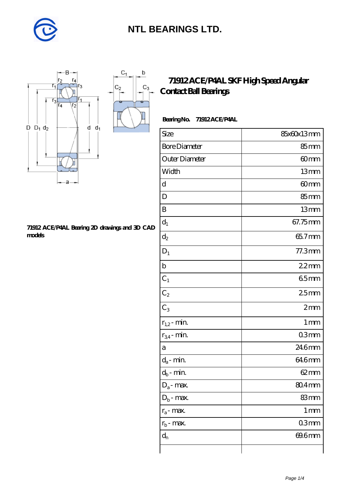

 $\mathbf b$ 

 $\mathrm{C}_3$ 



#### **[71912 ACE/P4AL Bearing 2D drawings and 3D CAD](https://diabetesfriends.net/pic-590672.html) [models](https://diabetesfriends.net/pic-590672.html)**

#### **[71912 ACE/P4AL SKF High Speed Angular](https://diabetesfriends.net/skf-bearing/71912-ace-p4al.html) [Contact Ball Bearings](https://diabetesfriends.net/skf-bearing/71912-ace-p4al.html)**

| Size                 | 85x60x13mm         |
|----------------------|--------------------|
| <b>Bore Diameter</b> | $85 \text{mm}$     |
| Outer Diameter       | 60mm               |
| Width                | 13mm               |
| d                    | 60 <sub>mm</sub>   |
| D                    | 85mm               |
| B                    | 13mm               |
| $\mathbf{d}_1$       | 67.75mm            |
| $d_2$                | 65.7mm             |
| $D_1$                | 77.3mm             |
| $\mathbf b$          | 22mm               |
| $\mathrm{C}_1$       | 65mm               |
| C <sub>2</sub>       | 25mm               |
| $C_3$                | 2mm                |
| $r_{1,2}$ - min.     | 1 <sub>mm</sub>    |
| $r_{34}$ - min.      | 03mm               |
| a                    | 246mm              |
| $d_a$ - min.         | 646mm              |
| $d_b$ - min.         | $62 \text{mm}$     |
| $D_a$ - max.         | $804$ mm           |
| $D_b$ - max.         | 83mm               |
| $r_a$ - max.         | $1 \, \mathrm{mm}$ |
| $r_{b}$ - max.       | 03mm               |
| $d_n$                | 69.6mm             |
|                      |                    |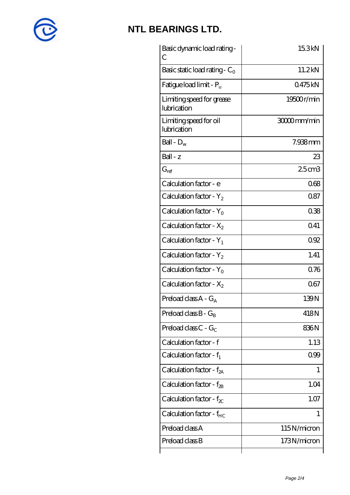

| Basic dynamic load rating -<br>С         | 15.3kN      |
|------------------------------------------|-------------|
| Basic static load rating - $C_0$         | 11.2kN      |
| Fatigue load limit - $P_{\rm u}$         | 0475kN      |
| Limiting speed for grease<br>lubrication | 19500r/min  |
| Limiting speed for oil<br>lubrication    | 30000mm/min |
| Ball - $D_w$                             | 7.938mm     |
| $Ball - z$                               | 23          |
| $G_{\text{ref}}$                         | $25$ cm $3$ |
| Calculation factor - e                   | 068         |
| Calculation factor - $Y_2$               | 087         |
| Calculation factor - $Y_0$               | 038         |
| Calculation factor - $X_2$               | 041         |
| Calculation factor - $Y_1$               | 092         |
| Calculation factor - $Y_2$               | 1.41        |
| Calculation factor - $Y_0$               | 0.76        |
| Calculation factor - $X_2$               | 067         |
| Preload class $A - G_A$                  | 139N        |
| Preload class $B - G_B$                  | 418N        |
| Preload class $C - G_C$                  | 836N        |
| Calculation factor - f                   | 1.13        |
| Calculation factor - $f_1$               | 0.99        |
| Calculation factor - $f_{2A}$            | 1           |
| Calculation factor - $f_{\rm 2B}$        | 1.04        |
| Calculation factor - $f_{\chi}$          | 1.07        |
| Calculation factor - $f_{HC}$            | 1           |
| Preload class A                          | 115N/micron |
| Preload class B                          | 173N/micron |
|                                          |             |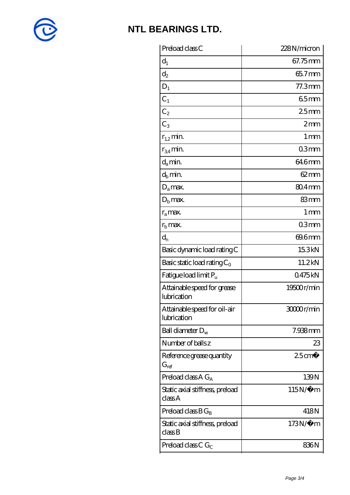

| Preload class C                                          | 228N/micron       |
|----------------------------------------------------------|-------------------|
| $d_1$                                                    | 67.75mm           |
| $\mathrm{d}_2$                                           | 65.7mm            |
| $D_1$                                                    | $77.3$ mm         |
| $C_1$                                                    | 65mm              |
| $C_2$                                                    | 25mm              |
| $C_3$                                                    | 2mm               |
| $r_{1,2}$ min.                                           | $1 \,\mathrm{mm}$ |
| $r_{34}$ min.                                            | 03 <sub>mm</sub>  |
| $d_a$ min.                                               | 64.6mm            |
| $d_h$ min.                                               | $62 \text{mm}$    |
| $D_a$ max.                                               | 80.4mm            |
| $Db$ max.                                                | 83mm              |
| $r_a$ max.                                               | $1 \,\mathrm{mm}$ |
| $r_{\rm b}$ max.                                         | 03 <sub>mm</sub>  |
| $d_n$                                                    | 69.6mm            |
| Basic dynamic load rating C                              | 15.3kN            |
| Basic static load rating $C_0$                           | 11.2kN            |
| Fatigue load limit P <sub>u</sub>                        | 0475kN            |
| Attainable speed for grease<br>lubrication               | 19500r/min        |
| Attainable speed for oil-air<br>lubrication              | 30000r/min        |
| Ball diameter $D_w$                                      | 7.938mm           |
| Number of balls z                                        | 23                |
| Reference grease quantity<br>$\mathrm{G}_{\mathrm{ref}}$ | $25 \text{cm}^3$  |
| Preload class A $G_A$                                    | 139N              |
| Static axial stiffness, preload<br>classA                | $115N/\mu$ m      |
| Preload class $BG_B$                                     | 418N              |
| Static axial stiffness, preload<br>$\mathrm{classB}$     | $173N/\mu$ m      |
| Preload class C $G_C$                                    | 836N              |